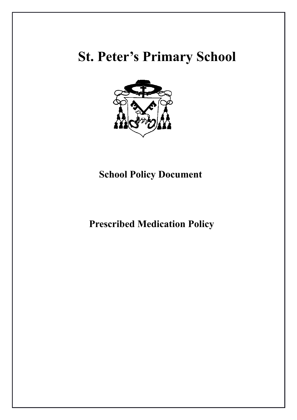# **St. Peter's Primary School**



# **School Policy Document**

 **Prescribed Medication Policy**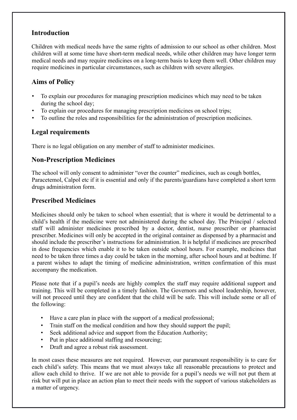# **Introduction**

Children with medical needs have the same rights of admission to our school as other children. Most children will at some time have short-term medical needs, while other children may have longer term medical needs and may require medicines on a long-term basis to keep them well. Other children may require medicines in particular circumstances, such as children with severe allergies.

# **Aims of Policy**

- To explain our procedures for managing prescription medicines which may need to be taken during the school day;
- To explain our procedures for managing prescription medicines on school trips;
- To outline the roles and responsibilities for the administration of prescription medicines.

## **Legal requirements**

There is no legal obligation on any member of staff to administer medicines.

## **Non-Prescription Medicines**

The school will only consent to administer "over the counter" medicines, such as cough bottles, Paracetemol, Calpol etc if it is essential and only if the parents/guardians have completed a short term drugs administration form.

## **Prescribed Medicines**

Medicines should only be taken to school when essential; that is where it would be detrimental to a child's health if the medicine were not administered during the school day. The Principal / selected staff will administer medicines prescribed by a doctor, dentist, nurse prescriber or pharmacist prescriber. Medicines will only be accepted in the original container as dispensed by a pharmacist and should include the prescriber's instructions for administration. It is helpful if medicines are prescribed in dose frequencies which enable it to be taken outside school hours. For example, medicines that need to be taken three times a day could be taken in the morning, after school hours and at bedtime. If a parent wishes to adapt the timing of medicine administration, written confirmation of this must accompany the medication.

Please note that if a pupil's needs are highly complex the staff may require additional support and training. This will be completed in a timely fashion. The Governors and school leadership, however, will not proceed until they are confident that the child will be safe. This will include some or all of the following:

- Have a care plan in place with the support of a medical professional;
- Train staff on the medical condition and how they should support the pupil;
- Seek additional advice and support from the Education Authority;
- Put in place additional staffing and resourcing;
- Draft and agree a robust risk assessment.

In most cases these measures are not required. However, our paramount responsibility is to care for each child's safety. This means that we must always take all reasonable precautions to protect and allow each child to thrive. If we are not able to provide for a pupil's needs we will not put them at risk but will put in place an action plan to meet their needs with the support of various stakeholders as a matter of urgency.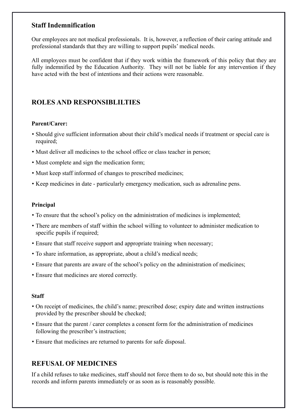# **Staff Indemnification**

Our employees are not medical professionals. It is, however, a reflection of their caring attitude and professional standards that they are willing to support pupils' medical needs.

All employees must be confident that if they work within the framework of this policy that they are fully indemnified by the Education Authority. They will not be liable for any intervention if they have acted with the best of intentions and their actions were reasonable.

# **ROLES AND RESPONSIBLILTIES**

#### **Parent/Carer:**

- Should give sufficient information about their child's medical needs if treatment or special care is required;
- Must deliver all medicines to the school office or class teacher in person;
- Must complete and sign the medication form;
- Must keep staff informed of changes to prescribed medicines;
- Keep medicines in date particularly emergency medication, such as adrenaline pens.

#### **Principal**

- To ensure that the school's policy on the administration of medicines is implemented;
- There are members of staff within the school willing to volunteer to administer medication to specific pupils if required;
- Ensure that staff receive support and appropriate training when necessary;
- To share information, as appropriate, about a child's medical needs;
- Ensure that parents are aware of the school's policy on the administration of medicines;
- Ensure that medicines are stored correctly.

#### **Staff**

- On receipt of medicines, the child's name; prescribed dose; expiry date and written instructions provided by the prescriber should be checked;
- Ensure that the parent / carer completes a consent form for the administration of medicines following the prescriber's instruction;
- Ensure that medicines are returned to parents for safe disposal.

# **REFUSAL OF MEDICINES**

If a child refuses to take medicines, staff should not force them to do so, but should note this in the records and inform parents immediately or as soon as is reasonably possible.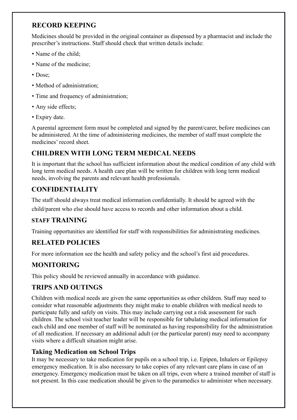# **RECORD KEEPING**

Medicines should be provided in the original container as dispensed by a pharmacist and include the prescriber's instructions. Staff should check that written details include:

- Name of the child;
- Name of the medicine;
- Dose:
- Method of administration;
- Time and frequency of administration;
- Any side effects:
- Expiry date.

A parental agreement form must be completed and signed by the parent/carer, before medicines can be administered. At the time of administering medicines, the member of staff must complete the medicines' record sheet.

# **CHILDREN WITH LONG TERM MEDICAL NEEDS**

It is important that the school has sufficient information about the medical condition of any child with long term medical needs. A health care plan will be written for children with long term medical needs, involving the parents and relevant health professionals.

# **CONFIDENTIALITY**

The staff should always treat medical information confidentially. It should be agreed with the

child/parent who else should have access to records and other information about a child.

# **STAFF TRAINING**

Training opportunities are identified for staff with responsibilities for administrating medicines.

# **RELATED POLICIES**

For more information see the health and safety policy and the school's first aid procedures.

# **MONITORING**

This policy should be reviewed annually in accordance with guidance.

# **TRIPS AND OUTINGS**

Children with medical needs are given the same opportunities as other children. Staff may need to consider what reasonable adjustments they might make to enable children with medical needs to participate fully and safely on visits. This may include carrying out a risk assessment for such children. The school visit teacher leader will be responsible for tabulating medical information for each child and one member of staff will be nominated as having responsibility for the administration of all medication. If necessary an additional adult (or the particular parent) may need to accompany visits where a difficult situation might arise.

# **Taking Medication on School Trips**

It may be necessary to take medication for pupils on a school trip, i.e. Epipen, Inhalers or Epilepsy emergency medication. It is also necessary to take copies of any relevant care plans in case of an emergency. Emergency medication must be taken on all trips, even where a trained member of staff is not present. In this case medication should be given to the paramedics to administer when necessary.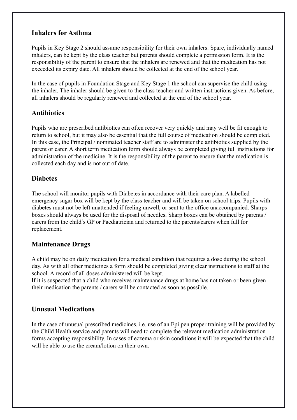# **Inhalers for Asthma**

Pupils in Key Stage 2 should assume responsibility for their own inhalers. Spare, individually named inhalers, can be kept by the class teacher but parents should complete a permission form. It is the responsibility of the parent to ensure that the inhalers are renewed and that the medication has not exceeded its expiry date. All inhalers should be collected at the end of the school year.

In the case of pupils in Foundation Stage and Key Stage 1 the school can supervise the child using the inhaler. The inhaler should be given to the class teacher and written instructions given. As before, all inhalers should be regularly renewed and collected at the end of the school year.

# **Antibiotics**

Pupils who are prescribed antibiotics can often recover very quickly and may well be fit enough to return to school, but it may also be essential that the full course of medication should be completed. In this case, the Principal / nominated teacher staff are to administer the antibiotics supplied by the parent or carer. A short term medication form should always be completed giving full instructions for administration of the medicine. It is the responsibility of the parent to ensure that the medication is collected each day and is not out of date.

# **Diabetes**

The school will monitor pupils with Diabetes in accordance with their care plan. A labelled emergency sugar box will be kept by the class teacher and will be taken on school trips. Pupils with diabetes must not be left unattended if feeling unwell, or sent to the office unaccompanied. Sharps boxes should always be used for the disposal of needles. Sharp boxes can be obtained by parents / carers from the child's GP or Paediatrician and returned to the parents/carers when full for replacement.

# **Maintenance Drugs**

A child may be on daily medication for a medical condition that requires a dose during the school day. As with all other medicines a form should be completed giving clear instructions to staff at the school. A record of all doses administered will be kept.

If it is suspected that a child who receives maintenance drugs at home has not taken or been given their medication the parents / carers will be contacted as soon as possible.

# **Unusual Medications**

In the case of unusual prescribed medicines, i.e. use of an Epi pen proper training will be provided by the Child Health service and parents will need to complete the relevant medication administration forms accepting responsibility. In cases of eczema or skin conditions it will be expected that the child will be able to use the cream/lotion on their own.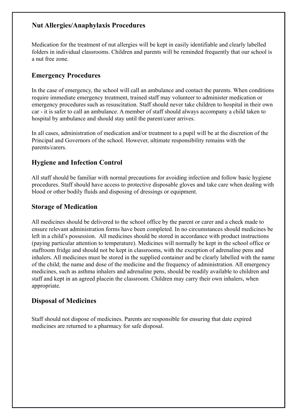# **Nut Allergies/Anaphylaxis Procedures**

Medication for the treatment of nut allergies will be kept in easily identifiable and clearly labelled folders in individual classrooms. Children and parents will be reminded frequently that our school is a nut free zone.

# **Emergency Procedures**

In the case of emergency, the school will call an ambulance and contact the parents. When conditions require immediate emergency treatment, trained staff may volunteer to administer medication or emergency procedures such as resuscitation. Staff should never take children to hospital in their own car - it is safer to call an ambulance. A member of staff should always accompany a child taken to hospital by ambulance and should stay until the parent/carer arrives.

In all cases, administration of medication and/or treatment to a pupil will be at the discretion of the Principal and Governors of the school. However, ultimate responsibility remains with the parents/carers.

# **Hygiene and Infection Control**

All staff should be familiar with normal precautions for avoiding infection and follow basic hygiene procedures. Staff should have access to protective disposable gloves and take care when dealing with blood or other bodily fluids and disposing of dressings or equipment.

#### **Storage of Medication**

All medicines should be delivered to the school office by the parent or carer and a check made to ensure relevant administration forms have been completed. In no circumstances should medicines be left in a child's possession. All medicines should be stored in accordance with product instructions (paying particular attention to temperature). Medicines will normally be kept in the school office or staffroom fridge and should not be kept in classrooms, with the exception of adrenaline pens and inhalers. All medicines must be stored in the supplied container and be clearly labelled with the name of the child; the name and dose of the medicine and the frequency of administration. All emergency medicines, such as asthma inhalers and adrenaline pens, should be readily available to children and staff and kept in an agreed placein the classroom. Children may carry their own inhalers, when appropriate.

## **Disposal of Medicines**

Staff should not dispose of medicines. Parents are responsible for ensuring that date expired medicines are returned to a pharmacy for safe disposal.